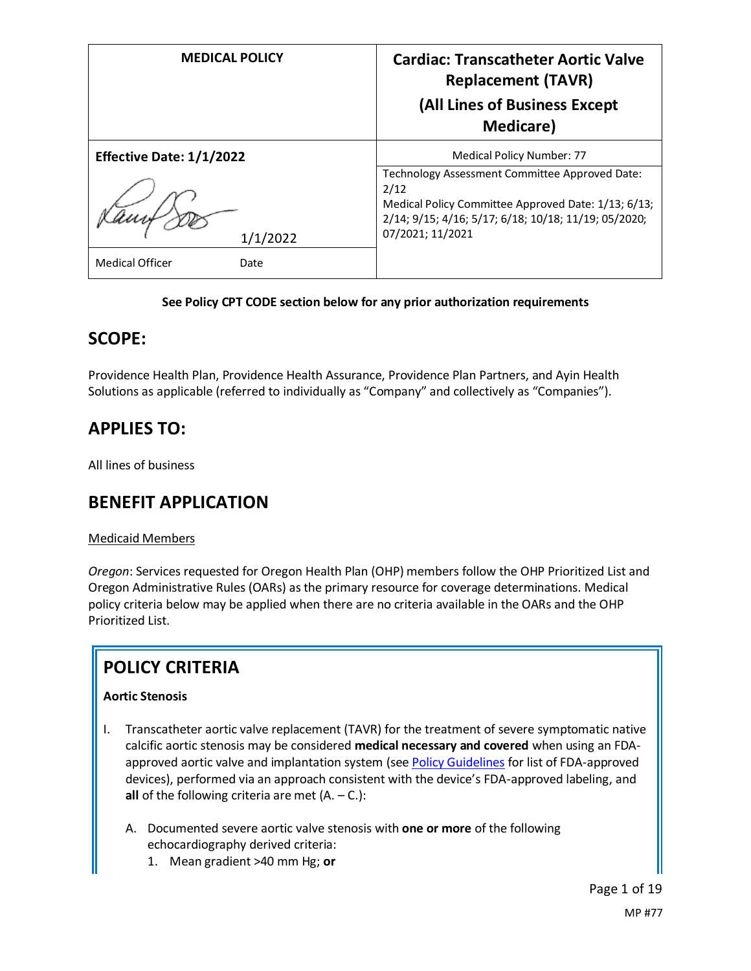| <b>MEDICAL POLICY</b>                      | <b>Cardiac: Transcatheter Aortic Valve</b><br><b>Replacement (TAVR)</b><br>(All Lines of Business Except<br><b>Medicare</b> )                                                             |
|--------------------------------------------|-------------------------------------------------------------------------------------------------------------------------------------------------------------------------------------------|
| <b>Effective Date: 1/1/2022</b>            | Medical Policy Number: 77                                                                                                                                                                 |
| 1/1/2022<br><b>Medical Officer</b><br>Date | Technology Assessment Committee Approved Date:<br>2/12<br>Medical Policy Committee Approved Date: 1/13; 6/13;<br>2/14; 9/15; 4/16; 5/17; 6/18; 10/18; 11/19; 05/2020;<br>07/2021; 11/2021 |

#### **See Policy CPT CODE section below for any prior authorization requirements**

## **SCOPE:**

Providence Health Plan, Providence Health Assurance, Providence Plan Partners, and Ayin Health Solutions as applicable (referred to individually as "Company" and collectively as "Companies").

## **APPLIES TO:**

All lines of business

## **BENEFIT APPLICATION**

#### Medicaid Members

*Oregon*: Services requested for Oregon Health Plan (OHP) members follow the OHP Prioritized List and Oregon Administrative Rules (OARs) as the primary resource for coverage determinations. Medical policy criteria below may be applied when there are no criteria available in the OARs and the OHP Prioritized List.

## **POLICY CRITERIA**

### **Aortic Stenosis**

- I. Transcatheter aortic valve replacement (TAVR) for the treatment of severe symptomatic native calcific aortic stenosis may be considered **medical necessary and covered** when using an FDAapproved aortic valve and implantation system (se[e Policy Guidelines](#page-2-0) for list of FDA-approved devices), performed via an approach consistent with the device's FDA-approved labeling, and **all** of the following criteria are met (A. – C.):
	- A. Documented severe aortic valve stenosis with **one or more** of the following echocardiography derived criteria:
		- 1. Mean gradient >40 mm Hg; **or**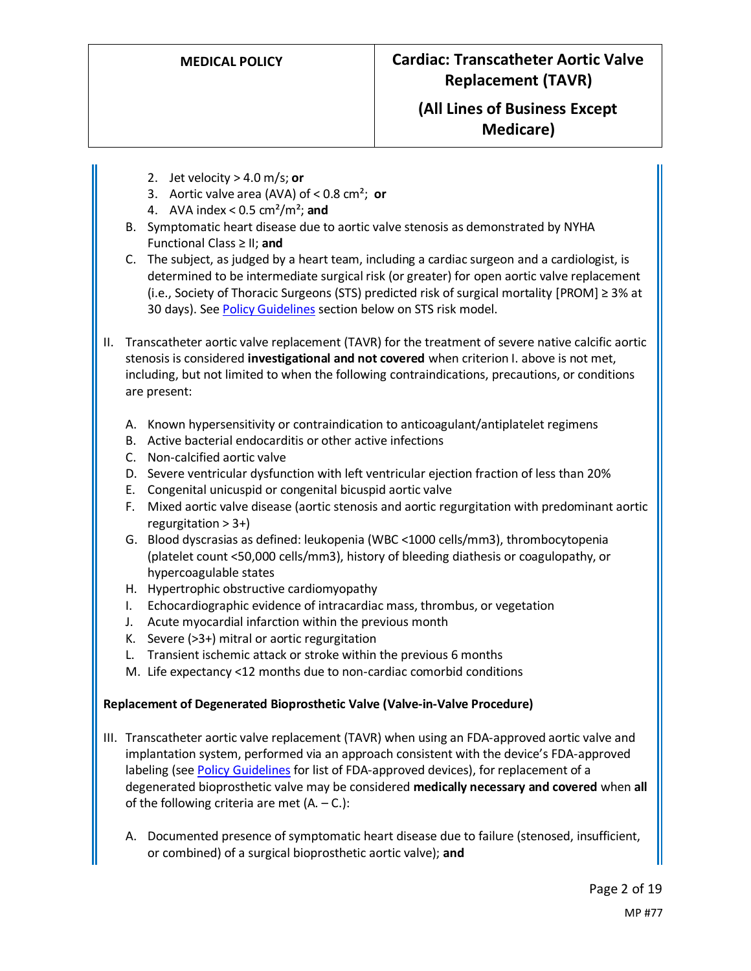- 2. Jet velocity > 4.0 m/s; **or**
- 3. Aortic valve area (AVA) of < 0.8 cm²; **or**
- 4. AVA index < 0.5 cm²/m²; **and**
- B. Symptomatic heart disease due to aortic valve stenosis as demonstrated by NYHA Functional Class ≥ II; **and**
- C. The subject, as judged by a heart team, including a cardiac surgeon and a cardiologist, is determined to be intermediate surgical risk (or greater) for open aortic valve replacement (i.e., Society of Thoracic Surgeons (STS) predicted risk of surgical mortality [PROM] ≥ 3% at 30 days). Se[e Policy Guidelines](#page-4-0) section below on STS risk model.
- II. Transcatheter aortic valve replacement (TAVR) for the treatment of severe native calcific aortic stenosis is considered **investigational and not covered** when criterion I. above is not met, including, but not limited to when the following contraindications, precautions, or conditions are present:
	- A. Known hypersensitivity or contraindication to anticoagulant/antiplatelet regimens
	- B. Active bacterial endocarditis or other active infections
	- C. Non-calcified aortic valve
	- D. Severe ventricular dysfunction with left ventricular ejection fraction of less than 20%
	- E. Congenital unicuspid or congenital bicuspid aortic valve
	- F. Mixed aortic valve disease (aortic stenosis and aortic regurgitation with predominant aortic regurgitation  $> 3+$ )
	- G. Blood dyscrasias as defined: leukopenia (WBC <1000 cells/mm3), thrombocytopenia (platelet count <50,000 cells/mm3), history of bleeding diathesis or coagulopathy, or hypercoagulable states
	- H. Hypertrophic obstructive cardiomyopathy
	- I. Echocardiographic evidence of intracardiac mass, thrombus, or vegetation
	- J. Acute myocardial infarction within the previous month
	- K. Severe (>3+) mitral or aortic regurgitation
	- L. Transient ischemic attack or stroke within the previous 6 months
	- M. Life expectancy <12 months due to non-cardiac comorbid conditions

### **Replacement of Degenerated Bioprosthetic Valve (Valve-in-Valve Procedure)**

- III. Transcatheter aortic valve replacement (TAVR) when using an FDA-approved aortic valve and implantation system, performed via an approach consistent with the device's FDA-approved labeling (see [Policy Guidelines](#page-2-0) for list of FDA-approved devices), for replacement of a degenerated bioprosthetic valve may be considered **medically necessary and covered** when **all** of the following criteria are met  $(A. -C.):$ 
	- A. Documented presence of symptomatic heart disease due to failure (stenosed, insufficient, or combined) of a surgical bioprosthetic aortic valve); **and**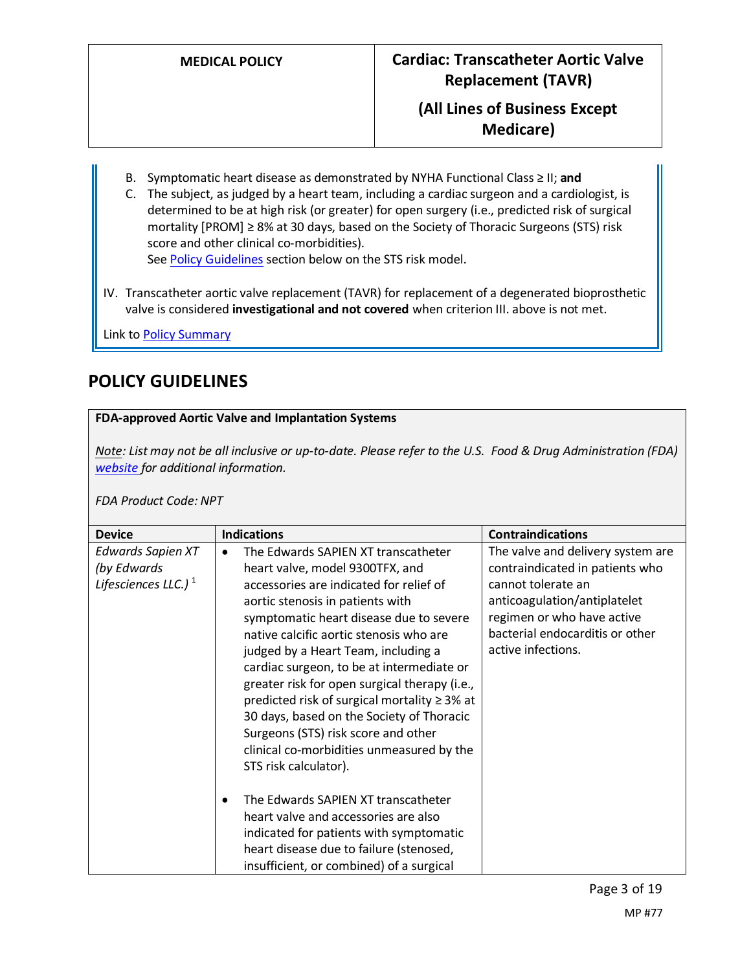**Medicare)**

- B. Symptomatic heart disease as demonstrated by NYHA Functional Class ≥ II; **and**
- C. The subject, as judged by a heart team, including a cardiac surgeon and a cardiologist, is determined to be at high risk (or greater) for open surgery (i.e., predicted risk of surgical mortality [PROM] ≥ 8% at 30 days, based on the Society of Thoracic Surgeons (STS) risk score and other clinical co-morbidities). Se[e Policy Guidelines](#page-4-0) section below on the STS risk model.
- IV. Transcatheter aortic valve replacement (TAVR) for replacement of a degenerated bioprosthetic valve is considered **investigational and not covered** when criterion III. above is not met.

Link t[o Policy Summary](#page-13-0)

## <span id="page-2-0"></span>**POLICY GUIDELINES**

### **FDA-approved Aortic Valve and Implantation Systems**

*Note: List may not be all inclusive or up-to-date. Please refer to the U.S. Food & Drug Administration (FDA) [website](https://www.accessdata.fda.gov/scripts/cdrh/cfdocs/cfpma/pma.cfm) for additional information.* 

#### *FDA Product Code: NPT*

| <b>Device</b>                                                       | <b>Indications</b>                                                                                                                                                                                                                                                                                                                                                                                                                                                                                                                                                                         | <b>Contraindications</b>                                                                                                                                                                                          |
|---------------------------------------------------------------------|--------------------------------------------------------------------------------------------------------------------------------------------------------------------------------------------------------------------------------------------------------------------------------------------------------------------------------------------------------------------------------------------------------------------------------------------------------------------------------------------------------------------------------------------------------------------------------------------|-------------------------------------------------------------------------------------------------------------------------------------------------------------------------------------------------------------------|
| Edwards Sapien XT<br>(by Edwards<br>Lifesciences LLC.) <sup>1</sup> | The Edwards SAPIEN XT transcatheter<br>heart valve, model 9300TFX, and<br>accessories are indicated for relief of<br>aortic stenosis in patients with<br>symptomatic heart disease due to severe<br>native calcific aortic stenosis who are<br>judged by a Heart Team, including a<br>cardiac surgeon, to be at intermediate or<br>greater risk for open surgical therapy (i.e.,<br>predicted risk of surgical mortality ≥ 3% at<br>30 days, based on the Society of Thoracic<br>Surgeons (STS) risk score and other<br>clinical co-morbidities unmeasured by the<br>STS risk calculator). | The valve and delivery system are<br>contraindicated in patients who<br>cannot tolerate an<br>anticoagulation/antiplatelet<br>regimen or who have active<br>bacterial endocarditis or other<br>active infections. |
|                                                                     | The Edwards SAPIEN XT transcatheter<br>heart valve and accessories are also<br>indicated for patients with symptomatic<br>heart disease due to failure (stenosed,<br>insufficient, or combined) of a surgical                                                                                                                                                                                                                                                                                                                                                                              |                                                                                                                                                                                                                   |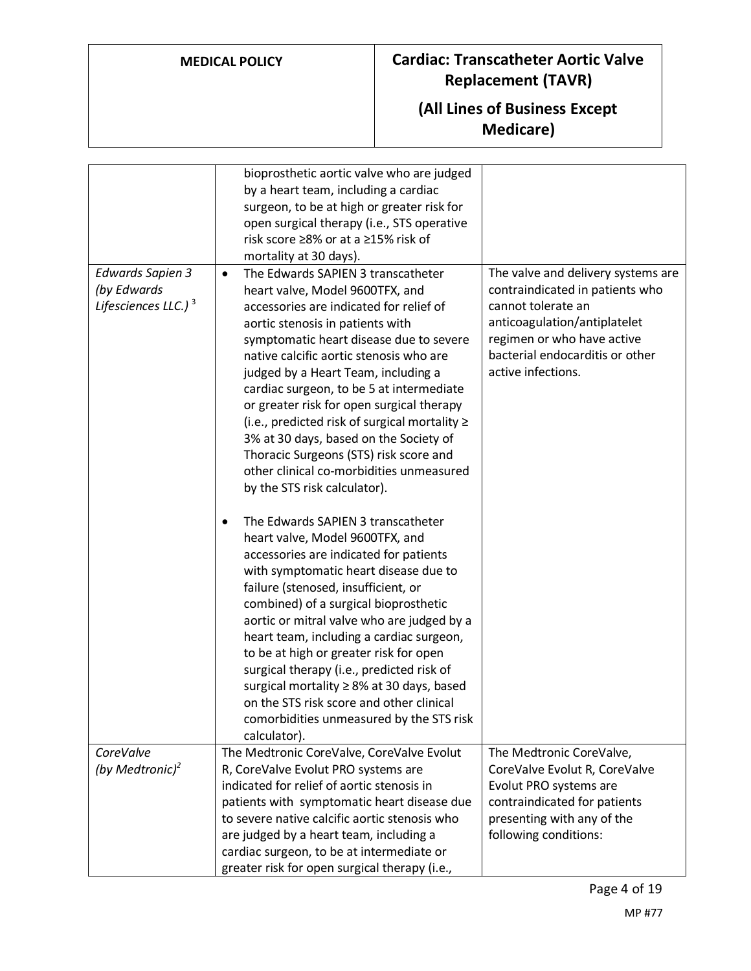## **MEDICAL POLICY Cardiac: Transcatheter Aortic Valve Replacement (TAVR)**

## **(All Lines of Business Except Medicare)**

|                                                                   | bioprosthetic aortic valve who are judged<br>by a heart team, including a cardiac<br>surgeon, to be at high or greater risk for<br>open surgical therapy (i.e., STS operative<br>risk score ≥8% or at a ≥15% risk of<br>mortality at 30 days).                                                                                                                                                                                                                                                                                                                                                                |                                                                                                                                                                                                                    |
|-------------------------------------------------------------------|---------------------------------------------------------------------------------------------------------------------------------------------------------------------------------------------------------------------------------------------------------------------------------------------------------------------------------------------------------------------------------------------------------------------------------------------------------------------------------------------------------------------------------------------------------------------------------------------------------------|--------------------------------------------------------------------------------------------------------------------------------------------------------------------------------------------------------------------|
| <b>Edwards Sapien 3</b><br>(by Edwards<br>Lifesciences LLC.) $^3$ | The Edwards SAPIEN 3 transcatheter<br>$\bullet$<br>heart valve, Model 9600TFX, and<br>accessories are indicated for relief of<br>aortic stenosis in patients with<br>symptomatic heart disease due to severe<br>native calcific aortic stenosis who are<br>judged by a Heart Team, including a<br>cardiac surgeon, to be 5 at intermediate<br>or greater risk for open surgical therapy<br>(i.e., predicted risk of surgical mortality $\geq$<br>3% at 30 days, based on the Society of<br>Thoracic Surgeons (STS) risk score and<br>other clinical co-morbidities unmeasured<br>by the STS risk calculator). | The valve and delivery systems are<br>contraindicated in patients who<br>cannot tolerate an<br>anticoagulation/antiplatelet<br>regimen or who have active<br>bacterial endocarditis or other<br>active infections. |
|                                                                   | The Edwards SAPIEN 3 transcatheter<br>٠<br>heart valve, Model 9600TFX, and<br>accessories are indicated for patients<br>with symptomatic heart disease due to<br>failure (stenosed, insufficient, or<br>combined) of a surgical bioprosthetic<br>aortic or mitral valve who are judged by a<br>heart team, including a cardiac surgeon,<br>to be at high or greater risk for open<br>surgical therapy (i.e., predicted risk of<br>surgical mortality ≥ 8% at 30 days, based<br>on the STS risk score and other clinical<br>comorbidities unmeasured by the STS risk<br>calculator).                           |                                                                                                                                                                                                                    |
| CoreValve                                                         | The Medtronic CoreValve, CoreValve Evolut                                                                                                                                                                                                                                                                                                                                                                                                                                                                                                                                                                     | The Medtronic CoreValve,                                                                                                                                                                                           |
| (by Medtronic) <sup>2</sup>                                       | R, CoreValve Evolut PRO systems are<br>indicated for relief of aortic stenosis in<br>patients with symptomatic heart disease due<br>to severe native calcific aortic stenosis who<br>are judged by a heart team, including a<br>cardiac surgeon, to be at intermediate or<br>greater risk for open surgical therapy (i.e.,                                                                                                                                                                                                                                                                                    | CoreValve Evolut R, CoreValve<br>Evolut PRO systems are<br>contraindicated for patients<br>presenting with any of the<br>following conditions:                                                                     |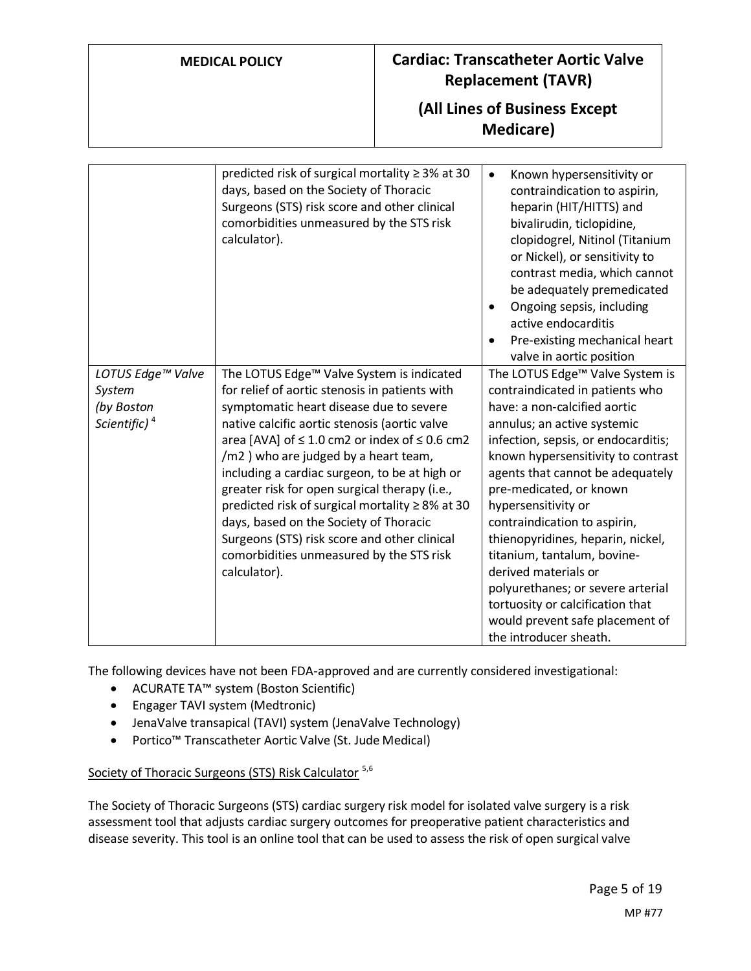## **MEDICAL POLICY Cardiac: Transcatheter Aortic Valve Replacement (TAVR)**

## **(All Lines of Business Except Medicare)**

|                          | predicted risk of surgical mortality $\geq$ 3% at 30<br>days, based on the Society of Thoracic<br>Surgeons (STS) risk score and other clinical<br>comorbidities unmeasured by the STS risk<br>calculator). | Known hypersensitivity or<br>$\bullet$<br>contraindication to aspirin,<br>heparin (HIT/HITTS) and<br>bivalirudin, ticlopidine,<br>clopidogrel, Nitinol (Titanium<br>or Nickel), or sensitivity to<br>contrast media, which cannot<br>be adequately premedicated<br>Ongoing sepsis, including<br>$\bullet$<br>active endocarditis<br>Pre-existing mechanical heart<br>valve in aortic position |
|--------------------------|------------------------------------------------------------------------------------------------------------------------------------------------------------------------------------------------------------|-----------------------------------------------------------------------------------------------------------------------------------------------------------------------------------------------------------------------------------------------------------------------------------------------------------------------------------------------------------------------------------------------|
| LOTUS Edge™ Valve        | The LOTUS Edge™ Valve System is indicated                                                                                                                                                                  | The LOTUS Edge™ Valve System is                                                                                                                                                                                                                                                                                                                                                               |
| System                   | for relief of aortic stenosis in patients with                                                                                                                                                             | contraindicated in patients who                                                                                                                                                                                                                                                                                                                                                               |
| (by Boston               | symptomatic heart disease due to severe                                                                                                                                                                    | have: a non-calcified aortic                                                                                                                                                                                                                                                                                                                                                                  |
| Scientific) <sup>4</sup> | native calcific aortic stenosis (aortic valve                                                                                                                                                              | annulus; an active systemic                                                                                                                                                                                                                                                                                                                                                                   |
|                          | area [AVA] of $\leq$ 1.0 cm2 or index of $\leq$ 0.6 cm2                                                                                                                                                    | infection, sepsis, or endocarditis;                                                                                                                                                                                                                                                                                                                                                           |
|                          | /m2) who are judged by a heart team,                                                                                                                                                                       | known hypersensitivity to contrast                                                                                                                                                                                                                                                                                                                                                            |
|                          | including a cardiac surgeon, to be at high or                                                                                                                                                              | agents that cannot be adequately                                                                                                                                                                                                                                                                                                                                                              |
|                          | greater risk for open surgical therapy (i.e.,                                                                                                                                                              | pre-medicated, or known                                                                                                                                                                                                                                                                                                                                                                       |
|                          | predicted risk of surgical mortality $\geq 8\%$ at 30                                                                                                                                                      | hypersensitivity or                                                                                                                                                                                                                                                                                                                                                                           |
|                          | days, based on the Society of Thoracic                                                                                                                                                                     | contraindication to aspirin,                                                                                                                                                                                                                                                                                                                                                                  |
|                          | Surgeons (STS) risk score and other clinical                                                                                                                                                               | thienopyridines, heparin, nickel,                                                                                                                                                                                                                                                                                                                                                             |
|                          | comorbidities unmeasured by the STS risk                                                                                                                                                                   | titanium, tantalum, bovine-                                                                                                                                                                                                                                                                                                                                                                   |
|                          | calculator).                                                                                                                                                                                               | derived materials or                                                                                                                                                                                                                                                                                                                                                                          |
|                          |                                                                                                                                                                                                            | polyurethanes; or severe arterial                                                                                                                                                                                                                                                                                                                                                             |
|                          |                                                                                                                                                                                                            | tortuosity or calcification that                                                                                                                                                                                                                                                                                                                                                              |
|                          |                                                                                                                                                                                                            | would prevent safe placement of                                                                                                                                                                                                                                                                                                                                                               |
|                          |                                                                                                                                                                                                            | the introducer sheath.                                                                                                                                                                                                                                                                                                                                                                        |

The following devices have not been FDA-approved and are currently considered investigational:

- ACURATE TA™ system (Boston Scientific)
- Engager TAVI system (Medtronic)
- JenaValve transapical (TAVI) system (JenaValve Technology)
- Portico™ Transcatheter Aortic Valve (St. Jude Medical)

### <span id="page-4-0"></span>Society of Thoracic Surgeons (STS) Risk Calculator <sup>5,6</sup>

The Society of Thoracic Surgeons (STS) cardiac surgery risk model for isolated valve surgery is a risk assessment tool that adjusts cardiac surgery outcomes for preoperative patient characteristics and disease severity. This tool is an online tool that can be used to assess the risk of open surgical valve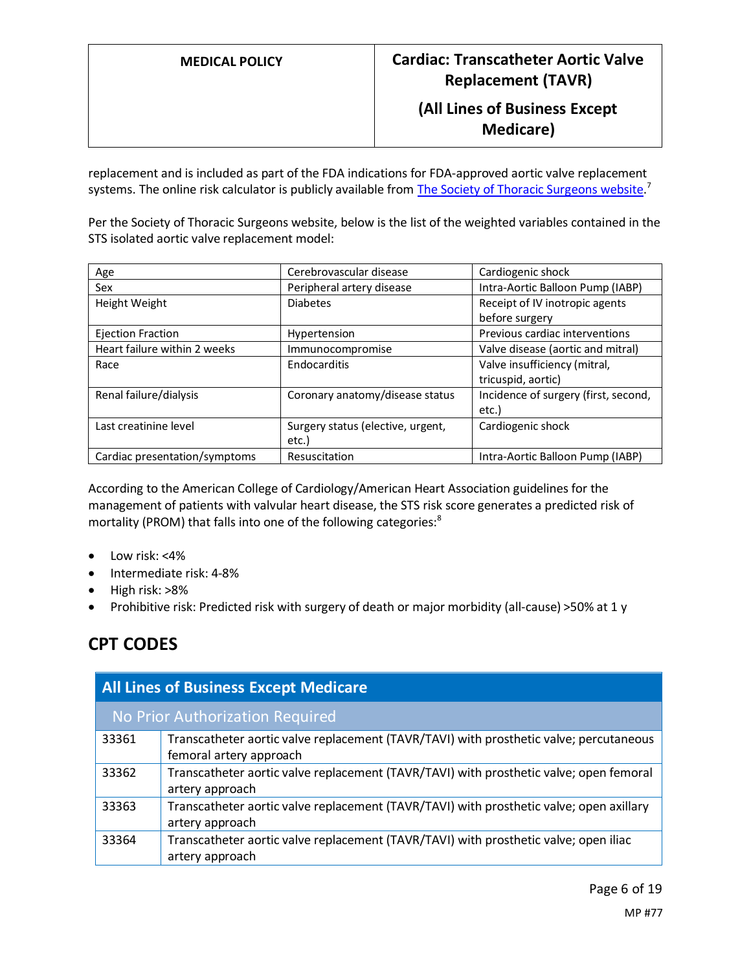replacement and is included as part of the FDA indications for FDA-approved aortic valve replacement systems. The online risk calculator is publicly available from [The Society of Thoracic Surgeons website.](http://riskcalc.sts.org/stswebriskcalc/#/calculate)<sup>7</sup>

Per the Society of Thoracic Surgeons website, below is the list of the weighted variables contained in the STS isolated aortic valve replacement model:

| Age                           | Cerebrovascular disease           | Cardiogenic shock                    |
|-------------------------------|-----------------------------------|--------------------------------------|
| Sex                           | Peripheral artery disease         | Intra-Aortic Balloon Pump (IABP)     |
| Height Weight                 | <b>Diabetes</b>                   | Receipt of IV inotropic agents       |
|                               |                                   | before surgery                       |
| Ejection Fraction             | Hypertension                      | Previous cardiac interventions       |
| Heart failure within 2 weeks  | Immunocompromise                  | Valve disease (aortic and mitral)    |
| Race                          | Endocarditis                      | Valve insufficiency (mitral,         |
|                               |                                   | tricuspid, aortic)                   |
| Renal failure/dialysis        | Coronary anatomy/disease status   | Incidence of surgery (first, second, |
|                               |                                   | etc.)                                |
| Last creatinine level         | Surgery status (elective, urgent, | Cardiogenic shock                    |
|                               | etc.)                             |                                      |
| Cardiac presentation/symptoms | Resuscitation                     | Intra-Aortic Balloon Pump (IABP)     |

According to the American College of Cardiology/American Heart Association guidelines for the management of patients with valvular heart disease, the STS risk score generates a predicted risk of mortality (PROM) that falls into one of the following categories:<sup>8</sup>

- $\bullet$  Low risk: <4%
- Intermediate risk: 4-8%
- High risk: >8%
- Prohibitive risk: Predicted risk with surgery of death or major morbidity (all-cause) >50% at 1 y

## **CPT CODES**

| <b>All Lines of Business Except Medicare</b> |                                                                                                                   |
|----------------------------------------------|-------------------------------------------------------------------------------------------------------------------|
|                                              | No Prior Authorization Required                                                                                   |
| 33361                                        | Transcatheter aortic valve replacement (TAVR/TAVI) with prosthetic valve; percutaneous<br>femoral artery approach |
| 33362                                        | Transcatheter aortic valve replacement (TAVR/TAVI) with prosthetic valve; open femoral<br>artery approach         |
| 33363                                        | Transcatheter aortic valve replacement (TAVR/TAVI) with prosthetic valve; open axillary<br>artery approach        |
| 33364                                        | Transcatheter aortic valve replacement (TAVR/TAVI) with prosthetic valve; open iliac<br>artery approach           |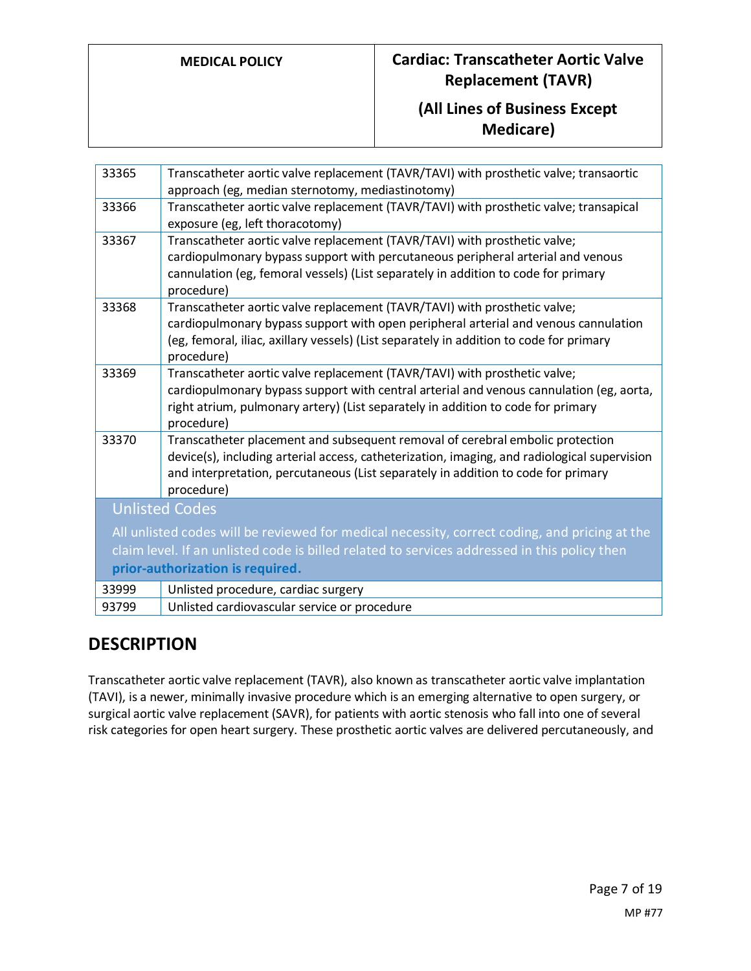## **MEDICAL POLICY Cardiac: Transcatheter Aortic Valve Replacement (TAVR)**

## **(All Lines of Business Except Medicare)**

| 33365                                                                                         | Transcatheter aortic valve replacement (TAVR/TAVI) with prosthetic valve; transaortic                                    |
|-----------------------------------------------------------------------------------------------|--------------------------------------------------------------------------------------------------------------------------|
|                                                                                               | approach (eg, median sternotomy, mediastinotomy)                                                                         |
| 33366                                                                                         | Transcatheter aortic valve replacement (TAVR/TAVI) with prosthetic valve; transapical<br>exposure (eg, left thoracotomy) |
| 33367                                                                                         | Transcatheter aortic valve replacement (TAVR/TAVI) with prosthetic valve;                                                |
|                                                                                               | cardiopulmonary bypass support with percutaneous peripheral arterial and venous                                          |
|                                                                                               |                                                                                                                          |
|                                                                                               | cannulation (eg, femoral vessels) (List separately in addition to code for primary                                       |
|                                                                                               | procedure)                                                                                                               |
| 33368                                                                                         | Transcatheter aortic valve replacement (TAVR/TAVI) with prosthetic valve;                                                |
|                                                                                               | cardiopulmonary bypass support with open peripheral arterial and venous cannulation                                      |
|                                                                                               | (eg, femoral, iliac, axillary vessels) (List separately in addition to code for primary                                  |
|                                                                                               | procedure)                                                                                                               |
|                                                                                               |                                                                                                                          |
| 33369                                                                                         | Transcatheter aortic valve replacement (TAVR/TAVI) with prosthetic valve;                                                |
|                                                                                               | cardiopulmonary bypass support with central arterial and venous cannulation (eg, aorta,                                  |
|                                                                                               | right atrium, pulmonary artery) (List separately in addition to code for primary                                         |
|                                                                                               | procedure)                                                                                                               |
| 33370                                                                                         | Transcatheter placement and subsequent removal of cerebral embolic protection                                            |
|                                                                                               | device(s), including arterial access, catheterization, imaging, and radiological supervision                             |
|                                                                                               | and interpretation, percutaneous (List separately in addition to code for primary                                        |
|                                                                                               | procedure)                                                                                                               |
|                                                                                               |                                                                                                                          |
| <b>Unlisted Codes</b>                                                                         |                                                                                                                          |
| All unlisted codes will be reviewed for medical necessity, correct coding, and pricing at the |                                                                                                                          |
| claim level. If an unlisted code is billed related to services addressed in this policy then  |                                                                                                                          |
| prior-authorization is required.                                                              |                                                                                                                          |
| 33999                                                                                         | Unlisted procedure, cardiac surgery                                                                                      |
| 93799                                                                                         | Unlisted cardiovascular service or procedure                                                                             |
|                                                                                               |                                                                                                                          |

## **DESCRIPTION**

Transcatheter aortic valve replacement (TAVR), also known as transcatheter aortic valve implantation (TAVI), is a newer, minimally invasive procedure which is an emerging alternative to open surgery, or surgical aortic valve replacement (SAVR), for patients with aortic stenosis who fall into one of several risk categories for open heart surgery. These prosthetic aortic valves are delivered percutaneously, and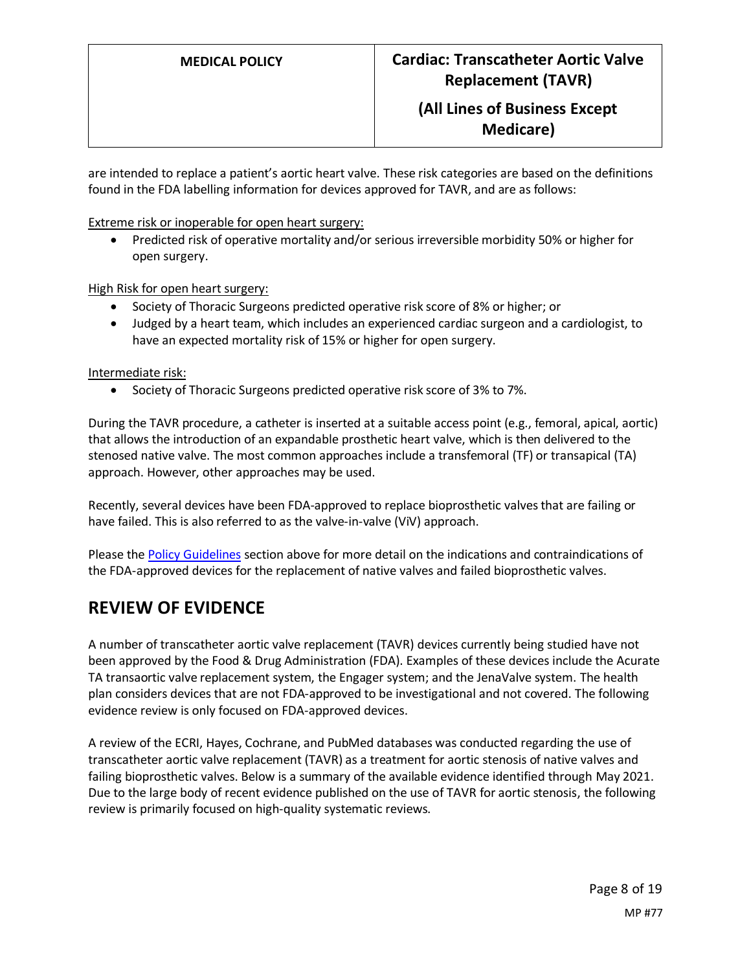are intended to replace a patient's aortic heart valve. These risk categories are based on the definitions found in the FDA labelling information for devices approved for TAVR, and are as follows:

Extreme risk or inoperable for open heart surgery:

• Predicted risk of operative mortality and/or serious irreversible morbidity 50% or higher for open surgery.

High Risk for open heart surgery:

- Society of Thoracic Surgeons predicted operative risk score of 8% or higher; or
- Judged by a heart team, which includes an experienced cardiac surgeon and a cardiologist, to have an expected mortality risk of 15% or higher for open surgery.

Intermediate risk:

• Society of Thoracic Surgeons predicted operative risk score of 3% to 7%.

During the TAVR procedure, a catheter is inserted at a suitable access point (e.g., femoral, apical, aortic) that allows the introduction of an expandable prosthetic heart valve, which is then delivered to the stenosed native valve. The most common approaches include a transfemoral (TF) or transapical (TA) approach. However, other approaches may be used.

Recently, several devices have been FDA-approved to replace bioprosthetic valves that are failing or have failed. This is also referred to as the valve-in-valve (ViV) approach.

Please th[e Policy Guidelines](#page-2-0) section above for more detail on the indications and contraindications of the FDA-approved devices for the replacement of native valves and failed bioprosthetic valves.

## **REVIEW OF EVIDENCE**

A number of transcatheter aortic valve replacement (TAVR) devices currently being studied have not been approved by the Food & Drug Administration (FDA). Examples of these devices include the Acurate TA transaortic valve replacement system, the Engager system; and the JenaValve system. The health plan considers devices that are not FDA-approved to be investigational and not covered. The following evidence review is only focused on FDA-approved devices.

A review of the ECRI, Hayes, Cochrane, and PubMed databases was conducted regarding the use of transcatheter aortic valve replacement (TAVR) as a treatment for aortic stenosis of native valves and failing bioprosthetic valves. Below is a summary of the available evidence identified through May 2021. Due to the large body of recent evidence published on the use of TAVR for aortic stenosis, the following review is primarily focused on high-quality systematic reviews.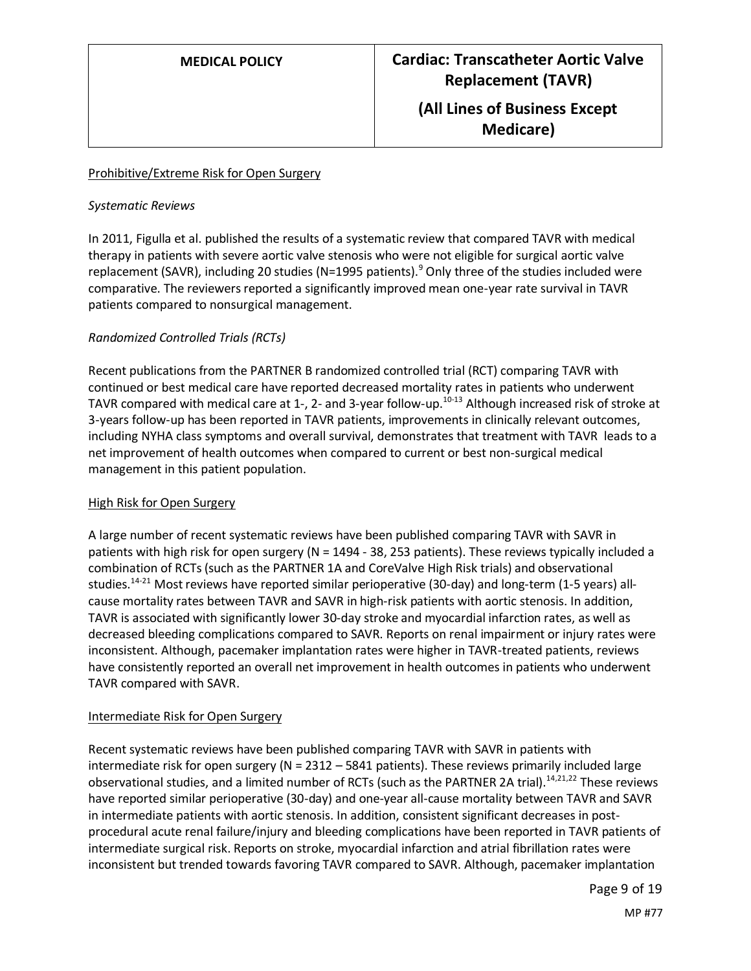#### Prohibitive/Extreme Risk for Open Surgery

#### *Systematic Reviews*

In 2011, Figulla et al. published the results of a systematic review that compared TAVR with medical therapy in patients with severe aortic valve stenosis who were not eligible for surgical aortic valve replacement (SAVR), including 20 studies (N=1995 patients).<sup>9</sup> Only three of the studies included were comparative. The reviewers reported a significantly improved mean one-year rate survival in TAVR patients compared to nonsurgical management.

### *Randomized Controlled Trials (RCTs)*

Recent publications from the PARTNER B randomized controlled trial (RCT) comparing TAVR with continued or best medical care have reported decreased mortality rates in patients who underwent TAVR compared with medical care at 1-, 2- and 3-year follow-up.<sup>10-13</sup> Although increased risk of stroke at 3-years follow-up has been reported in TAVR patients, improvements in clinically relevant outcomes, including NYHA class symptoms and overall survival, demonstrates that treatment with TAVR leads to a net improvement of health outcomes when compared to current or best non-surgical medical management in this patient population.

### High Risk for Open Surgery

A large number of recent systematic reviews have been published comparing TAVR with SAVR in patients with high risk for open surgery (N = 1494 - 38, 253 patients). These reviews typically included a combination of RCTs(such as the PARTNER 1A and CoreValve High Risk trials) and observational studies.<sup>14-21</sup> Most reviews have reported similar perioperative (30-day) and long-term (1-5 years) allcause mortality rates between TAVR and SAVR in high-risk patients with aortic stenosis. In addition, TAVR is associated with significantly lower 30-day stroke and myocardial infarction rates, as well as decreased bleeding complications compared to SAVR. Reports on renal impairment or injury rates were inconsistent. Although, pacemaker implantation rates were higher in TAVR-treated patients, reviews have consistently reported an overall net improvement in health outcomes in patients who underwent TAVR compared with SAVR.

#### Intermediate Risk for Open Surgery

Recent systematic reviews have been published comparing TAVR with SAVR in patients with intermediate risk for open surgery ( $N = 2312 - 5841$  patients). These reviews primarily included large observational studies, and a limited number of RCTs (such as the PARTNER 2A trial).<sup>14,21,22</sup> These reviews have reported similar perioperative (30-day) and one-year all-cause mortality between TAVR and SAVR in intermediate patients with aortic stenosis. In addition, consistent significant decreases in postprocedural acute renal failure/injury and bleeding complications have been reported in TAVR patients of intermediate surgical risk. Reports on stroke, myocardial infarction and atrial fibrillation rates were inconsistent but trended towards favoring TAVR compared to SAVR. Although, pacemaker implantation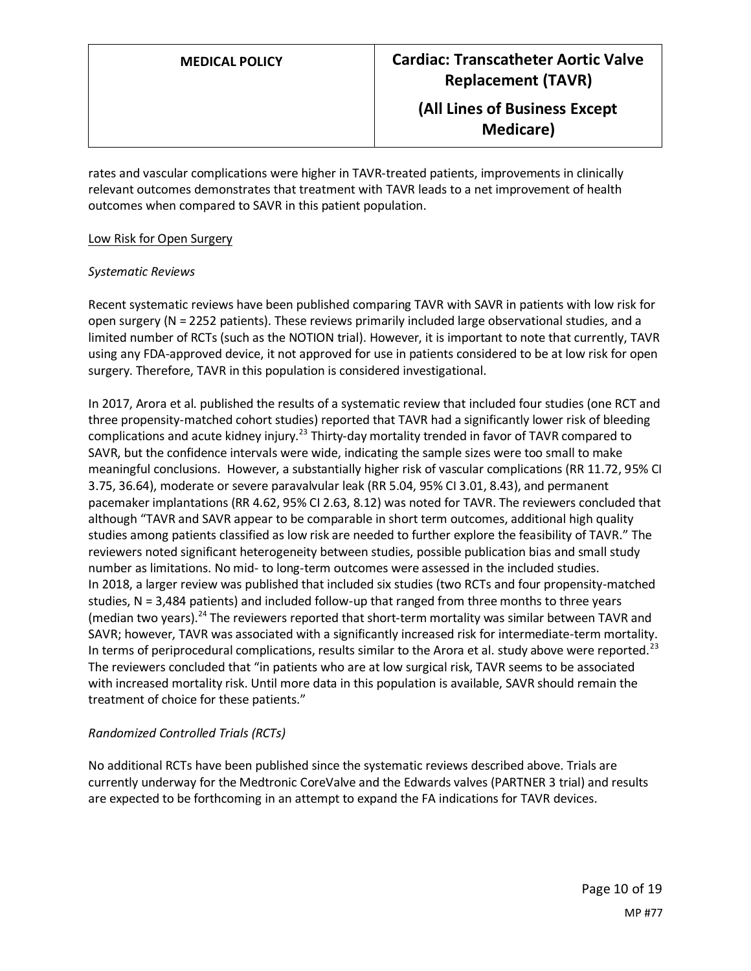**Medicare)**

rates and vascular complications were higher in TAVR-treated patients, improvements in clinically relevant outcomes demonstrates that treatment with TAVR leads to a net improvement of health outcomes when compared to SAVR in this patient population.

#### Low Risk for Open Surgery

### *Systematic Reviews*

Recent systematic reviews have been published comparing TAVR with SAVR in patients with low risk for open surgery (N = 2252 patients). These reviews primarily included large observational studies, and a limited number of RCTs (such as the NOTION trial). However, it is important to note that currently, TAVR using any FDA-approved device, it not approved for use in patients considered to be at low risk for open surgery. Therefore, TAVR in this population is considered investigational.

In 2017, Arora et al. published the results of a systematic review that included four studies (one RCT and three propensity-matched cohort studies) reported that TAVR had a significantly lower risk of bleeding complications and acute kidney injury.<sup>23</sup> Thirty-day mortality trended in favor of TAVR compared to SAVR, but the confidence intervals were wide, indicating the sample sizes were too small to make meaningful conclusions. However, a substantially higher risk of vascular complications (RR 11.72, 95% CI 3.75, 36.64), moderate or severe paravalvular leak (RR 5.04, 95% CI 3.01, 8.43), and permanent pacemaker implantations (RR 4.62, 95% CI 2.63, 8.12) was noted for TAVR. The reviewers concluded that although "TAVR and SAVR appear to be comparable in short term outcomes, additional high quality studies among patients classified as low risk are needed to further explore the feasibility of TAVR." The reviewers noted significant heterogeneity between studies, possible publication bias and small study number as limitations. No mid- to long-term outcomes were assessed in the included studies. In 2018, a larger review was published that included six studies (two RCTs and four propensity-matched studies, N = 3,484 patients) and included follow-up that ranged from three months to three years (median two years).<sup>24</sup> The reviewers reported that short-term mortality was similar between TAVR and SAVR; however, TAVR was associated with a significantly increased risk for intermediate-term mortality. In terms of periprocedural complications, results similar to the Arora et al. study above were reported.<sup>23</sup> The reviewers concluded that "in patients who are at low surgical risk, TAVR seems to be associated with increased mortality risk. Until more data in this population is available, SAVR should remain the treatment of choice for these patients."

#### *Randomized Controlled Trials (RCTs)*

No additional RCTs have been published since the systematic reviews described above. Trials are currently underway for the Medtronic CoreValve and the Edwards valves (PARTNER 3 trial) and results are expected to be forthcoming in an attempt to expand the FA indications for TAVR devices.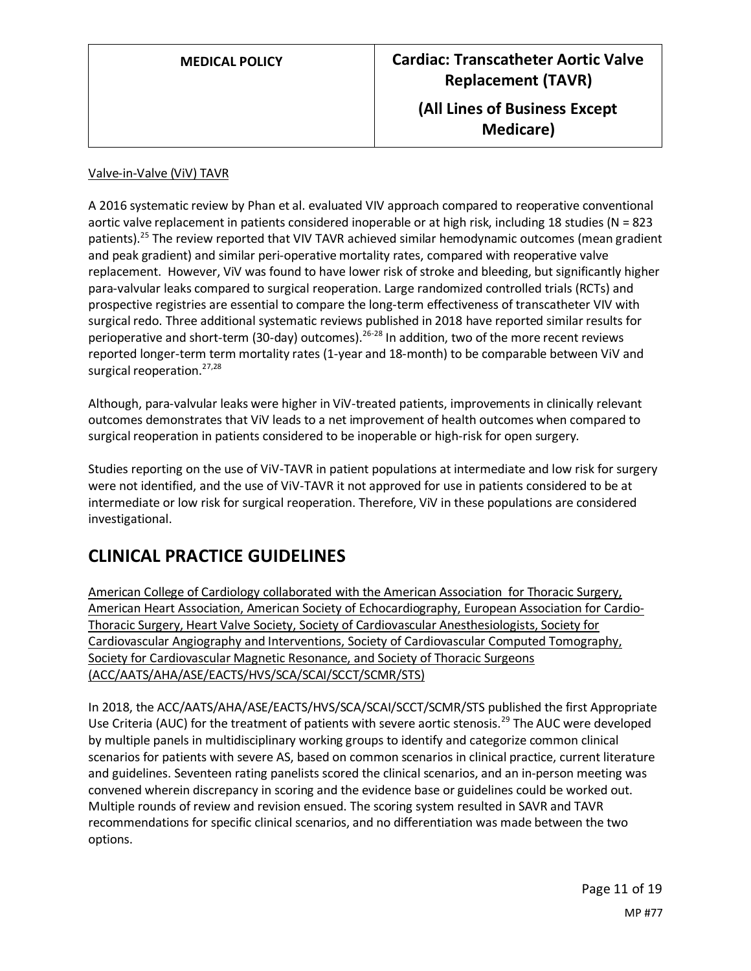#### Valve-in-Valve (ViV) TAVR

A 2016 systematic review by Phan et al. evaluated VIV approach compared to reoperative conventional aortic valve replacement in patients considered inoperable or at high risk, including 18 studies (N = 823 patients).<sup>25</sup> The review reported that VIV TAVR achieved similar hemodynamic outcomes (mean gradient and peak gradient) and similar peri-operative mortality rates, compared with reoperative valve replacement. However, ViV was found to have lower risk of stroke and bleeding, but significantly higher para-valvular leaks compared to surgical reoperation. Large randomized controlled trials (RCTs) and prospective registries are essential to compare the long-term effectiveness of transcatheter VIV with surgical redo. Three additional systematic reviews published in 2018 have reported similar results for perioperative and short-term (30-day) outcomes).<sup>26-28</sup> In addition, two of the more recent reviews reported longer-term term mortality rates (1-year and 18-month) to be comparable between ViV and surgical reoperation.<sup>27,28</sup>

Although, para-valvular leaks were higher in ViV-treated patients, improvements in clinically relevant outcomes demonstrates that ViV leads to a net improvement of health outcomes when compared to surgical reoperation in patients considered to be inoperable or high-risk for open surgery.

Studies reporting on the use of ViV-TAVR in patient populations at intermediate and low risk for surgery were not identified, and the use of ViV-TAVR it not approved for use in patients considered to be at intermediate or low risk for surgical reoperation. Therefore, ViV in these populations are considered investigational.

## **CLINICAL PRACTICE GUIDELINES**

American College of Cardiology collaborated with the American Association for Thoracic Surgery, American Heart Association, American Society of Echocardiography, European Association for Cardio-Thoracic Surgery, Heart Valve Society, Society of Cardiovascular Anesthesiologists, Society for Cardiovascular Angiography and Interventions, Society of Cardiovascular Computed Tomography, Society for Cardiovascular Magnetic Resonance, and Society of Thoracic Surgeons (ACC/AATS/AHA/ASE/EACTS/HVS/SCA/SCAI/SCCT/SCMR/STS)

In 2018, the ACC/AATS/AHA/ASE/EACTS/HVS/SCA/SCAI/SCCT/SCMR/STS published the first Appropriate Use Criteria (AUC) for the treatment of patients with severe aortic stenosis.<sup>29</sup> The AUC were developed by multiple panels in multidisciplinary working groups to identify and categorize common clinical scenarios for patients with severe AS, based on common scenarios in clinical practice, current literature and guidelines. Seventeen rating panelists scored the clinical scenarios, and an in-person meeting was convened wherein discrepancy in scoring and the evidence base or guidelines could be worked out. Multiple rounds of review and revision ensued. The scoring system resulted in SAVR and TAVR recommendations for specific clinical scenarios, and no differentiation was made between the two options.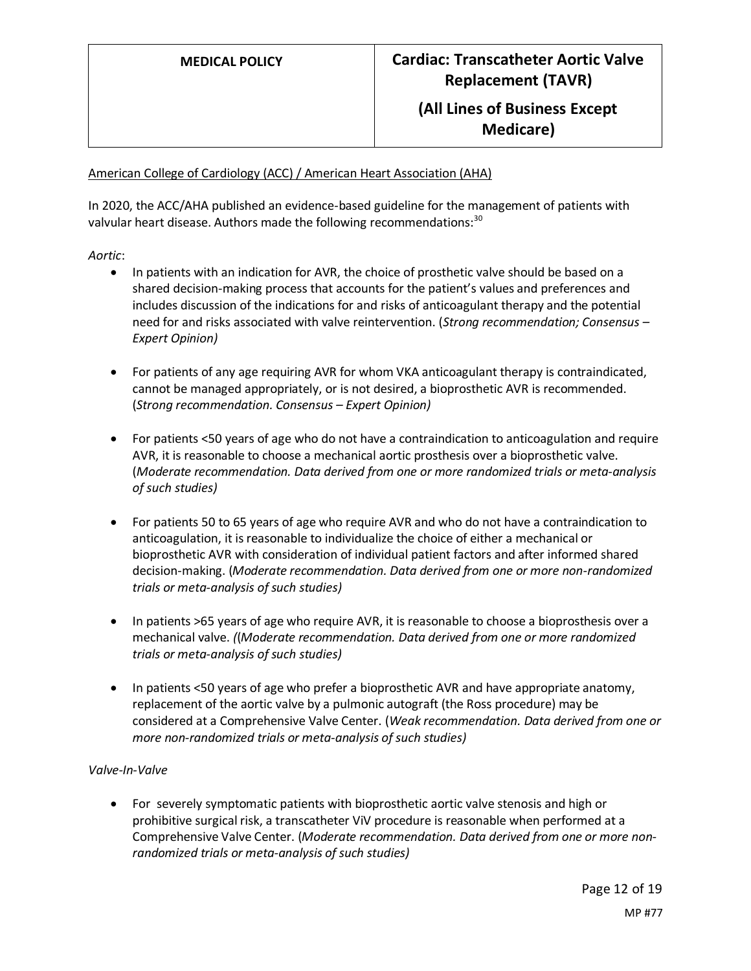#### American College of Cardiology (ACC) / American Heart Association (AHA)

In 2020, the ACC/AHA published an evidence-based guideline for the management of patients with valvular heart disease. Authors made the following recommendations:<sup>30</sup>

*Aortic*:

- In patients with an indication for AVR, the choice of prosthetic valve should be based on a shared decision-making process that accounts for the patient's values and preferences and includes discussion of the indications for and risks of anticoagulant therapy and the potential need for and risks associated with valve reintervention. (*Strong recommendation; Consensus – Expert Opinion)*
- For patients of any age requiring AVR for whom VKA anticoagulant therapy is contraindicated, cannot be managed appropriately, or is not desired, a bioprosthetic AVR is recommended. (*Strong recommendation. Consensus – Expert Opinion)*
- For patients <50 years of age who do not have a contraindication to anticoagulation and require AVR, it is reasonable to choose a mechanical aortic prosthesis over a bioprosthetic valve. (*Moderate recommendation. Data derived from one or more randomized trials or meta-analysis of such studies)*
- For patients 50 to 65 years of age who require AVR and who do not have a contraindication to anticoagulation, it is reasonable to individualize the choice of either a mechanical or bioprosthetic AVR with consideration of individual patient factors and after informed shared decision-making. (*Moderate recommendation. Data derived from one or more non-randomized trials or meta-analysis of such studies)*
- In patients >65 years of age who require AVR, it is reasonable to choose a bioprosthesis over a mechanical valve. *(*(*Moderate recommendation. Data derived from one or more randomized trials or meta-analysis of such studies)*
- In patients <50 years of age who prefer a bioprosthetic AVR and have appropriate anatomy, replacement of the aortic valve by a pulmonic autograft (the Ross procedure) may be considered at a Comprehensive Valve Center. (*Weak recommendation. Data derived from one or more non-randomized trials or meta-analysis of such studies)*

#### *Valve-In-Valve*

• For severely symptomatic patients with bioprosthetic aortic valve stenosis and high or prohibitive surgical risk, a transcatheter ViV procedure is reasonable when performed at a Comprehensive Valve Center. (*Moderate recommendation. Data derived from one or more nonrandomized trials or meta-analysis of such studies)*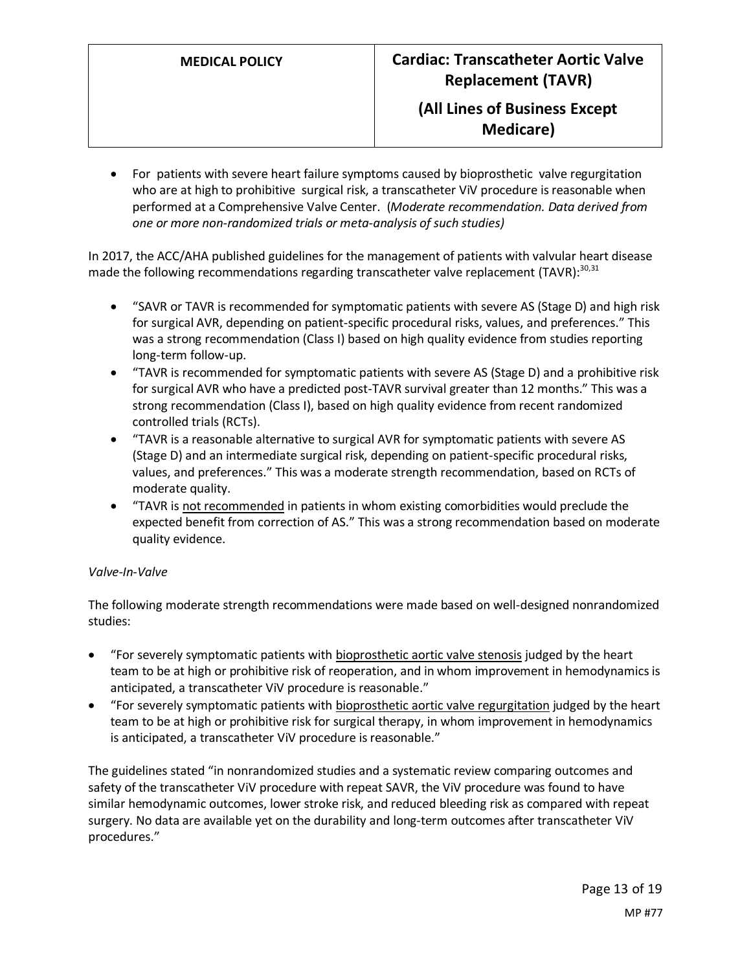• For patients with severe heart failure symptoms caused by bioprosthetic valve regurgitation who are at high to prohibitive surgical risk, a transcatheter ViV procedure is reasonable when performed at a Comprehensive Valve Center. (*Moderate recommendation. Data derived from one or more non-randomized trials or meta-analysis of such studies)*

In 2017, the ACC/AHA published guidelines for the management of patients with valvular heart disease made the following recommendations regarding transcatheter valve replacement (TAVR):<sup>30,31</sup>

- "SAVR or TAVR is recommended for symptomatic patients with severe AS (Stage D) and high risk for surgical AVR, depending on patient-specific procedural risks, values, and preferences." This was a strong recommendation (Class I) based on high quality evidence from studies reporting long-term follow-up.
- "TAVR is recommended for symptomatic patients with severe AS (Stage D) and a prohibitive risk for surgical AVR who have a predicted post-TAVR survival greater than 12 months." This was a strong recommendation (Class I), based on high quality evidence from recent randomized controlled trials (RCTs).
- "TAVR is a reasonable alternative to surgical AVR for symptomatic patients with severe AS (Stage D) and an intermediate surgical risk, depending on patient-specific procedural risks, values, and preferences." This was a moderate strength recommendation, based on RCTs of moderate quality.
- "TAVR is not recommended in patients in whom existing comorbidities would preclude the expected benefit from correction of AS." This was a strong recommendation based on moderate quality evidence.

#### *Valve-In-Valve*

The following moderate strength recommendations were made based on well-designed nonrandomized studies:

- "For severely symptomatic patients with bioprosthetic aortic valve stenosis judged by the heart team to be at high or prohibitive risk of reoperation, and in whom improvement in hemodynamics is anticipated, a transcatheter ViV procedure is reasonable."
- "For severely symptomatic patients with bioprosthetic aortic valve regurgitation judged by the heart team to be at high or prohibitive risk for surgical therapy, in whom improvement in hemodynamics is anticipated, a transcatheter ViV procedure is reasonable."

The guidelines stated "in nonrandomized studies and a systematic review comparing outcomes and safety of the transcatheter ViV procedure with repeat SAVR, the ViV procedure was found to have similar hemodynamic outcomes, lower stroke risk, and reduced bleeding risk as compared with repeat surgery. No data are available yet on the durability and long-term outcomes after transcatheter ViV procedures."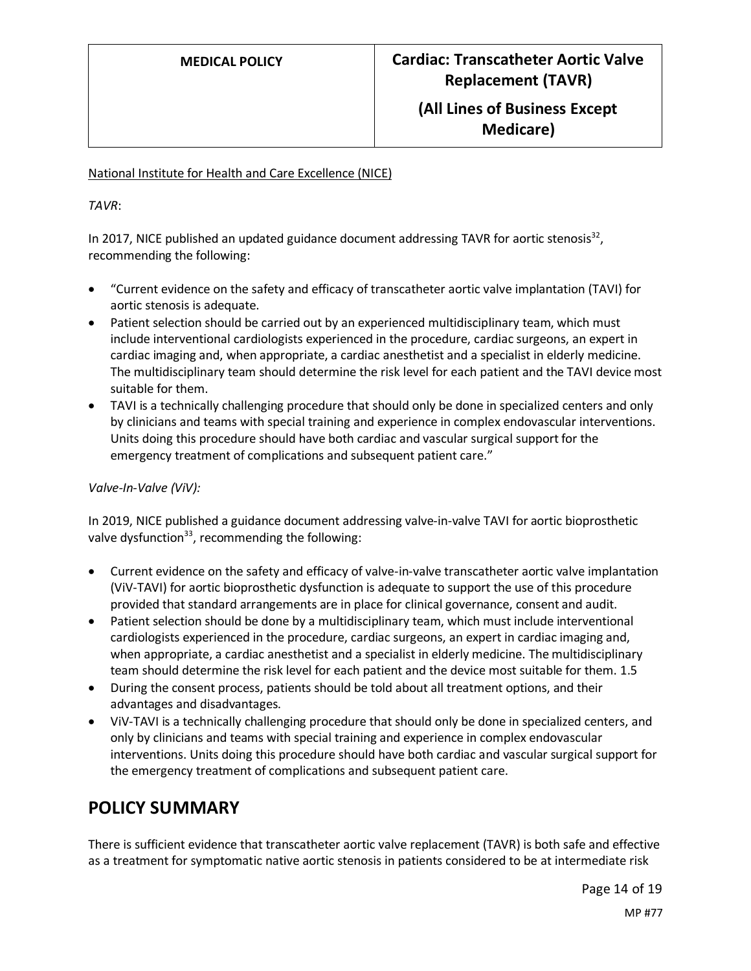# **Medicare)**

### National Institute for Health and Care Excellence (NICE)

*TAVR*:

In 2017, NICE published an updated guidance document addressing TAVR for aortic stenosis<sup>32</sup>, recommending the following:

- "Current evidence on the safety and efficacy of transcatheter aortic valve implantation (TAVI) for aortic stenosis is adequate.
- Patient selection should be carried out by an experienced multidisciplinary team, which must include interventional cardiologists experienced in the procedure, cardiac surgeons, an expert in cardiac imaging and, when appropriate, a cardiac anesthetist and a specialist in elderly medicine. The multidisciplinary team should determine the risk level for each patient and the TAVI device most suitable for them.
- TAVI is a technically challenging procedure that should only be done in specialized centers and only by clinicians and teams with special training and experience in complex endovascular interventions. Units doing this procedure should have both cardiac and vascular surgical support for the emergency treatment of complications and subsequent patient care."

#### *Valve-In-Valve (ViV):*

In 2019, NICE published a guidance document addressing valve-in-valve TAVI for aortic bioprosthetic valve dysfunction $^{33}$ , recommending the following:

- Current evidence on the safety and efficacy of valve-in-valve transcatheter aortic valve implantation (ViV-TAVI) for aortic bioprosthetic dysfunction is adequate to support the use of this procedure provided that standard arrangements are in place for clinical governance, consent and audit.
- Patient selection should be done by a multidisciplinary team, which must include interventional cardiologists experienced in the procedure, cardiac surgeons, an expert in cardiac imaging and, when appropriate, a cardiac anesthetist and a specialist in elderly medicine. The multidisciplinary team should determine the risk level for each patient and the device most suitable for them. 1.5
- During the consent process, patients should be told about all treatment options, and their advantages and disadvantages.
- ViV-TAVI is a technically challenging procedure that should only be done in specialized centers, and only by clinicians and teams with special training and experience in complex endovascular interventions. Units doing this procedure should have both cardiac and vascular surgical support for the emergency treatment of complications and subsequent patient care.

## <span id="page-13-0"></span>**POLICY SUMMARY**

There is sufficient evidence that transcatheter aortic valve replacement (TAVR) is both safe and effective as a treatment for symptomatic native aortic stenosis in patients considered to be at intermediate risk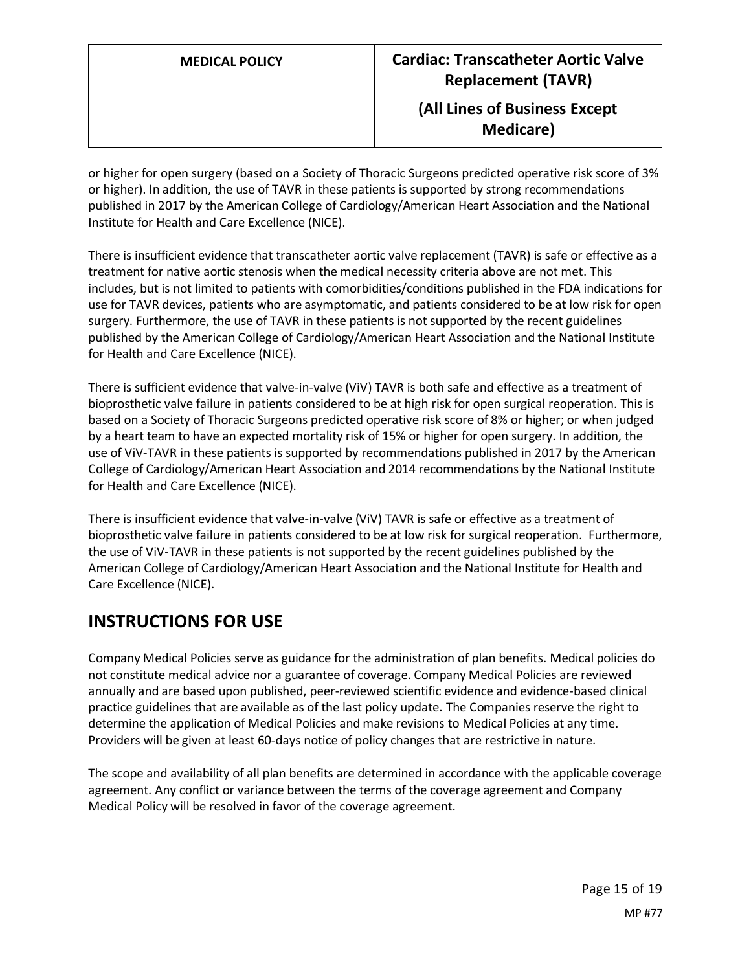or higher for open surgery (based on a Society of Thoracic Surgeons predicted operative risk score of 3% or higher). In addition, the use of TAVR in these patients is supported by strong recommendations published in 2017 by the American College of Cardiology/American Heart Association and the National Institute for Health and Care Excellence (NICE).

There is insufficient evidence that transcatheter aortic valve replacement (TAVR) is safe or effective as a treatment for native aortic stenosis when the medical necessity criteria above are not met. This includes, but is not limited to patients with comorbidities/conditions published in the FDA indications for use for TAVR devices, patients who are asymptomatic, and patients considered to be at low risk for open surgery. Furthermore, the use of TAVR in these patients is not supported by the recent guidelines published by the American College of Cardiology/American Heart Association and the National Institute for Health and Care Excellence (NICE).

There is sufficient evidence that valve-in-valve (ViV) TAVR is both safe and effective as a treatment of bioprosthetic valve failure in patients considered to be at high risk for open surgical reoperation. This is based on a Society of Thoracic Surgeons predicted operative risk score of 8% or higher; or when judged by a heart team to have an expected mortality risk of 15% or higher for open surgery. In addition, the use of ViV-TAVR in these patients is supported by recommendations published in 2017 by the American College of Cardiology/American Heart Association and 2014 recommendations by the National Institute for Health and Care Excellence (NICE).

There is insufficient evidence that valve-in-valve (ViV) TAVR is safe or effective as a treatment of bioprosthetic valve failure in patients considered to be at low risk for surgical reoperation. Furthermore, the use of ViV-TAVR in these patients is not supported by the recent guidelines published by the American College of Cardiology/American Heart Association and the National Institute for Health and Care Excellence (NICE).

## **INSTRUCTIONS FOR USE**

Company Medical Policies serve as guidance for the administration of plan benefits. Medical policies do not constitute medical advice nor a guarantee of coverage. Company Medical Policies are reviewed annually and are based upon published, peer-reviewed scientific evidence and evidence-based clinical practice guidelines that are available as of the last policy update. The Companies reserve the right to determine the application of Medical Policies and make revisions to Medical Policies at any time. Providers will be given at least 60-days notice of policy changes that are restrictive in nature.

The scope and availability of all plan benefits are determined in accordance with the applicable coverage agreement. Any conflict or variance between the terms of the coverage agreement and Company Medical Policy will be resolved in favor of the coverage agreement.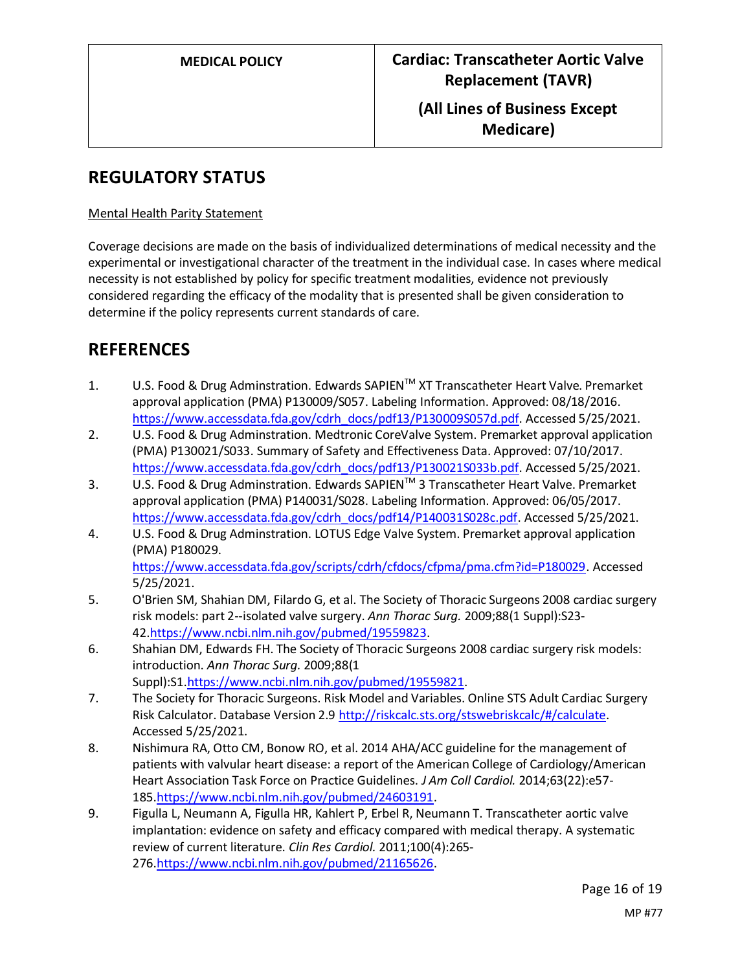## **REGULATORY STATUS**

#### Mental Health Parity Statement

Coverage decisions are made on the basis of individualized determinations of medical necessity and the experimental or investigational character of the treatment in the individual case. In cases where medical necessity is not established by policy for specific treatment modalities, evidence not previously considered regarding the efficacy of the modality that is presented shall be given consideration to determine if the policy represents current standards of care.

## **REFERENCES**

- 1. U.S. Food & Drug Adminstration. Edwards SAPIENTM XT Transcatheter Heart Valve. Premarket approval application (PMA) P130009/S057. Labeling Information. Approved: 08/18/2016. [https://www.accessdata.fda.gov/cdrh\\_docs/pdf13/P130009S057d.pdf.](https://www.accessdata.fda.gov/cdrh_docs/pdf13/P130009S057d.pdf) Accessed 5/25/2021.
- 2. U.S. Food & Drug Adminstration. Medtronic CoreValve System. Premarket approval application (PMA) P130021/S033. Summary of Safety and Effectiveness Data. Approved: 07/10/2017. [https://www.accessdata.fda.gov/cdrh\\_docs/pdf13/P130021S033b.pdf.](https://www.accessdata.fda.gov/cdrh_docs/pdf13/P130021S033b.pdf) Accessed 5/25/2021.
- 3. U.S. Food & Drug Adminstration. Edwards SAPIEN™ 3 Transcatheter Heart Valve. Premarket approval application (PMA) P140031/S028. Labeling Information. Approved: 06/05/2017. [https://www.accessdata.fda.gov/cdrh\\_docs/pdf14/P140031S028c.pdf.](https://www.accessdata.fda.gov/cdrh_docs/pdf14/P140031S028c.pdf) Accessed 5/25/2021.
- 4. U.S. Food & Drug Adminstration. LOTUS Edge Valve System. Premarket approval application (PMA) P180029. [https://www.accessdata.fda.gov/scripts/cdrh/cfdocs/cfpma/pma.cfm?id=P180029.](https://www.accessdata.fda.gov/scripts/cdrh/cfdocs/cfpma/pma.cfm?id=P180029) Accessed

5/25/2021.

- 5. O'Brien SM, Shahian DM, Filardo G, et al. The Society of Thoracic Surgeons 2008 cardiac surgery risk models: part 2--isolated valve surgery. *Ann Thorac Surg.* 2009;88(1 Suppl):S23- 42[.https://www.ncbi.nlm.nih.gov/pubmed/19559823.](https://www.ncbi.nlm.nih.gov/pubmed/19559823)
- 6. Shahian DM, Edwards FH. The Society of Thoracic Surgeons 2008 cardiac surgery risk models: introduction. *Ann Thorac Surg.* 2009;88(1 Suppl):S1[.https://www.ncbi.nlm.nih.gov/pubmed/19559821.](https://www.ncbi.nlm.nih.gov/pubmed/19559821)
- 7. The Society for Thoracic Surgeons. Risk Model and Variables. Online STS Adult Cardiac Surgery Risk Calculator. Database Version 2.9 [http://riskcalc.sts.org/stswebriskcalc/#/calculate.](http://riskcalc.sts.org/stswebriskcalc/#/calculate) Accessed 5/25/2021.
- 8. Nishimura RA, Otto CM, Bonow RO, et al. 2014 AHA/ACC guideline for the management of patients with valvular heart disease: a report of the American College of Cardiology/American Heart Association Task Force on Practice Guidelines. *J Am Coll Cardiol.* 2014;63(22):e57- 185[.https://www.ncbi.nlm.nih.gov/pubmed/24603191.](https://www.ncbi.nlm.nih.gov/pubmed/24603191)
- 9. Figulla L, Neumann A, Figulla HR, Kahlert P, Erbel R, Neumann T. Transcatheter aortic valve implantation: evidence on safety and efficacy compared with medical therapy. A systematic review of current literature. *Clin Res Cardiol.* 2011;100(4):265- 276[.https://www.ncbi.nlm.nih.gov/pubmed/21165626.](https://www.ncbi.nlm.nih.gov/pubmed/21165626)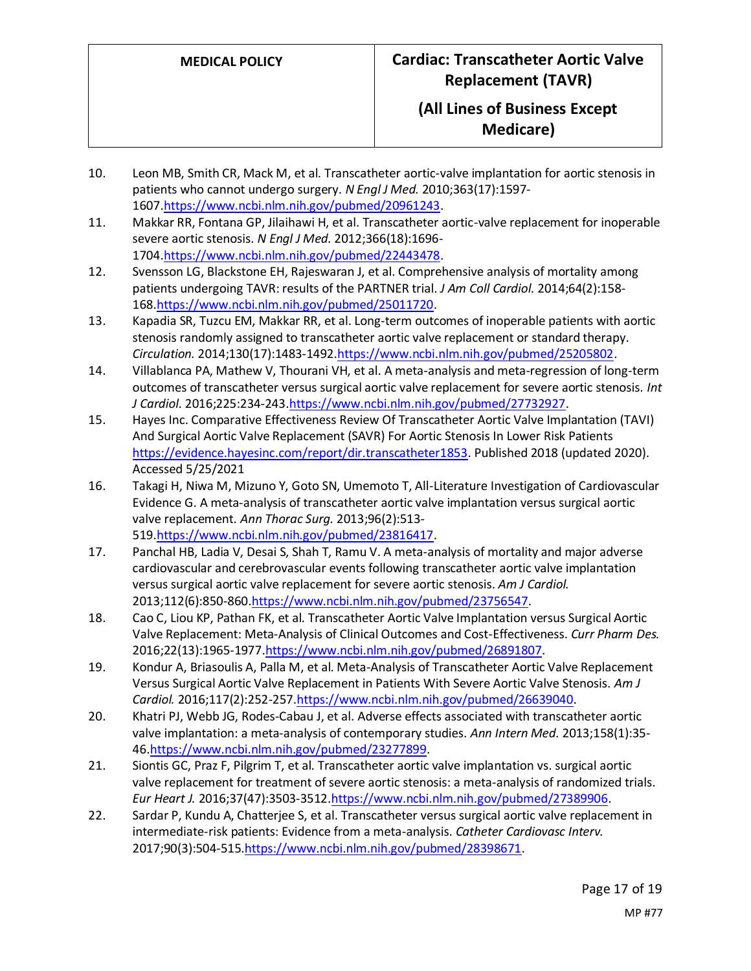- 10. Leon MB, Smith CR, Mack M, et al. Transcatheter aortic-valve implantation for aortic stenosis in patients who cannot undergo surgery. *N Engl J Med.* 2010;363(17):1597- 1607[.https://www.ncbi.nlm.nih.gov/pubmed/20961243.](https://www.ncbi.nlm.nih.gov/pubmed/20961243)
- 11. Makkar RR, Fontana GP, Jilaihawi H, et al. Transcatheter aortic-valve replacement for inoperable severe aortic stenosis. *N Engl J Med.* 2012;366(18):1696- 1704[.https://www.ncbi.nlm.nih.gov/pubmed/22443478.](https://www.ncbi.nlm.nih.gov/pubmed/22443478)
- 12. Svensson LG, Blackstone EH, Rajeswaran J, et al. Comprehensive analysis of mortality among patients undergoing TAVR: results of the PARTNER trial. *J Am Coll Cardiol.* 2014;64(2):158- 168[.https://www.ncbi.nlm.nih.gov/pubmed/25011720.](https://www.ncbi.nlm.nih.gov/pubmed/25011720)
- 13. Kapadia SR, Tuzcu EM, Makkar RR, et al. Long-term outcomes of inoperable patients with aortic stenosis randomly assigned to transcatheter aortic valve replacement or standard therapy. *Circulation.* 2014;130(17):1483-149[2.https://www.ncbi.nlm.nih.gov/pubmed/25205802.](https://www.ncbi.nlm.nih.gov/pubmed/25205802)
- 14. Villablanca PA, Mathew V, Thourani VH, et al. A meta-analysis and meta-regression of long-term outcomes of transcatheter versus surgical aortic valve replacement for severe aortic stenosis. *Int J Cardiol.* 2016;225:234-243[.https://www.ncbi.nlm.nih.gov/pubmed/27732927.](https://www.ncbi.nlm.nih.gov/pubmed/27732927)
- 15. Hayes Inc. Comparative Effectiveness Review Of Transcatheter Aortic Valve Implantation (TAVI) And Surgical Aortic Valve Replacement (SAVR) For Aortic Stenosis In Lower Risk Patients [https://evidence.hayesinc.com/report/dir.transcatheter1853.](https://evidence.hayesinc.com/report/dir.transcatheter1853) Published 2018 (updated 2020). Accessed 5/25/2021
- 16. Takagi H, Niwa M, Mizuno Y, Goto SN, Umemoto T, All-Literature Investigation of Cardiovascular Evidence G. A meta-analysis of transcatheter aortic valve implantation versus surgical aortic valve replacement. *Ann Thorac Surg.* 2013;96(2):513- 519[.https://www.ncbi.nlm.nih.gov/pubmed/23816417.](https://www.ncbi.nlm.nih.gov/pubmed/23816417)
- 17. Panchal HB, Ladia V, Desai S, Shah T, Ramu V. A meta-analysis of mortality and major adverse cardiovascular and cerebrovascular events following transcatheter aortic valve implantation versus surgical aortic valve replacement for severe aortic stenosis. *Am J Cardiol.*  2013;112(6):850-86[0.https://www.ncbi.nlm.nih.gov/pubmed/23756547.](https://www.ncbi.nlm.nih.gov/pubmed/23756547)
- 18. Cao C, Liou KP, Pathan FK, et al. Transcatheter Aortic Valve Implantation versus Surgical Aortic Valve Replacement: Meta-Analysis of Clinical Outcomes and Cost-Effectiveness. *Curr Pharm Des.*  2016;22(13):1965-1977[.https://www.ncbi.nlm.nih.gov/pubmed/26891807.](https://www.ncbi.nlm.nih.gov/pubmed/26891807)
- 19. Kondur A, Briasoulis A, Palla M, et al. Meta-Analysis of Transcatheter Aortic Valve Replacement Versus Surgical Aortic Valve Replacement in Patients With Severe Aortic Valve Stenosis. *Am J Cardiol.* 2016;117(2):252-25[7.https://www.ncbi.nlm.nih.gov/pubmed/26639040.](https://www.ncbi.nlm.nih.gov/pubmed/26639040)
- 20. Khatri PJ, Webb JG, Rodes-Cabau J, et al. Adverse effects associated with transcatheter aortic valve implantation: a meta-analysis of contemporary studies. *Ann Intern Med.* 2013;158(1):35- 46[.https://www.ncbi.nlm.nih.gov/pubmed/23277899.](https://www.ncbi.nlm.nih.gov/pubmed/23277899)
- 21. Siontis GC, Praz F, Pilgrim T, et al. Transcatheter aortic valve implantation vs. surgical aortic valve replacement for treatment of severe aortic stenosis: a meta-analysis of randomized trials. *Eur Heart J.* 2016;37(47):3503-351[2.https://www.ncbi.nlm.nih.gov/pubmed/27389906.](https://www.ncbi.nlm.nih.gov/pubmed/27389906)
- 22. Sardar P, Kundu A, Chatterjee S, et al. Transcatheter versus surgical aortic valve replacement in intermediate-risk patients: Evidence from a meta-analysis. *Catheter Cardiovasc Interv.*  2017;90(3):504-515[.https://www.ncbi.nlm.nih.gov/pubmed/28398671.](https://www.ncbi.nlm.nih.gov/pubmed/28398671)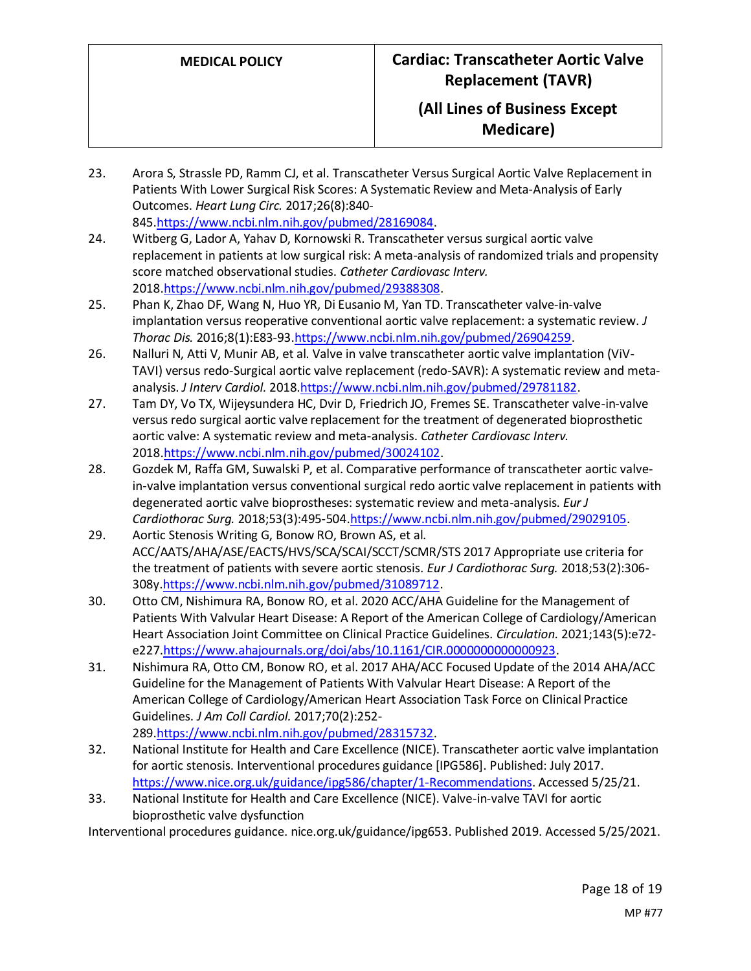- 23. Arora S, Strassle PD, Ramm CJ, et al. Transcatheter Versus Surgical Aortic Valve Replacement in Patients With Lower Surgical Risk Scores: A Systematic Review and Meta-Analysis of Early Outcomes. *Heart Lung Circ.* 2017;26(8):840- 845[.https://www.ncbi.nlm.nih.gov/pubmed/28169084.](https://www.ncbi.nlm.nih.gov/pubmed/28169084)
- 24. Witberg G, Lador A, Yahav D, Kornowski R. Transcatheter versus surgical aortic valve replacement in patients at low surgical risk: A meta-analysis of randomized trials and propensity score matched observational studies. *Catheter Cardiovasc Interv.*  2018[.https://www.ncbi.nlm.nih.gov/pubmed/29388308.](https://www.ncbi.nlm.nih.gov/pubmed/29388308)
- 25. Phan K, Zhao DF, Wang N, Huo YR, Di Eusanio M, Yan TD. Transcatheter valve-in-valve implantation versus reoperative conventional aortic valve replacement: a systematic review. *J Thorac Dis.* 2016;8(1):E83-93[.https://www.ncbi.nlm.nih.gov/pubmed/26904259.](https://www.ncbi.nlm.nih.gov/pubmed/26904259)
- 26. Nalluri N, Atti V, Munir AB, et al. Valve in valve transcatheter aortic valve implantation (ViV-TAVI) versus redo-Surgical aortic valve replacement (redo-SAVR): A systematic review and metaanalysis. *J Interv Cardiol.* 201[8.https://www.ncbi.nlm.nih.gov/pubmed/29781182.](https://www.ncbi.nlm.nih.gov/pubmed/29781182)
- 27. Tam DY, Vo TX, Wijeysundera HC, Dvir D, Friedrich JO, Fremes SE. Transcatheter valve-in-valve versus redo surgical aortic valve replacement for the treatment of degenerated bioprosthetic aortic valve: A systematic review and meta-analysis. *Catheter Cardiovasc Interv.*  2018[.https://www.ncbi.nlm.nih.gov/pubmed/30024102.](https://www.ncbi.nlm.nih.gov/pubmed/30024102)
- 28. Gozdek M, Raffa GM, Suwalski P, et al. Comparative performance of transcatheter aortic valvein-valve implantation versus conventional surgical redo aortic valve replacement in patients with degenerated aortic valve bioprostheses: systematic review and meta-analysis. *Eur J Cardiothorac Surg.* 2018;53(3):495-504[.https://www.ncbi.nlm.nih.gov/pubmed/29029105.](https://www.ncbi.nlm.nih.gov/pubmed/29029105)
- 29. Aortic Stenosis Writing G, Bonow RO, Brown AS, et al. ACC/AATS/AHA/ASE/EACTS/HVS/SCA/SCAI/SCCT/SCMR/STS 2017 Appropriate use criteria for the treatment of patients with severe aortic stenosis. *Eur J Cardiothorac Surg.* 2018;53(2):306- 308[y.https://www.ncbi.nlm.nih.gov/pubmed/31089712.](https://www.ncbi.nlm.nih.gov/pubmed/31089712)
- 30. Otto CM, Nishimura RA, Bonow RO, et al. 2020 ACC/AHA Guideline for the Management of Patients With Valvular Heart Disease: A Report of the American College of Cardiology/American Heart Association Joint Committee on Clinical Practice Guidelines. *Circulation.* 2021;143(5):e72 e227[.https://www.ahajournals.org/doi/abs/10.1161/CIR.0000000000000923.](https://www.ahajournals.org/doi/abs/10.1161/CIR.0000000000000923)
- 31. Nishimura RA, Otto CM, Bonow RO, et al. 2017 AHA/ACC Focused Update of the 2014 AHA/ACC Guideline for the Management of Patients With Valvular Heart Disease: A Report of the American College of Cardiology/American Heart Association Task Force on Clinical Practice Guidelines. *J Am Coll Cardiol.* 2017;70(2):252- 289[.https://www.ncbi.nlm.nih.gov/pubmed/28315732.](https://www.ncbi.nlm.nih.gov/pubmed/28315732)
- 32. National Institute for Health and Care Excellence (NICE). Transcatheter aortic valve implantation for aortic stenosis. Interventional procedures guidance [IPG586]. Published: July 2017. [https://www.nice.org.uk/guidance/ipg586/chapter/1-Recommendations.](https://www.nice.org.uk/guidance/ipg586/chapter/1-Recommendations) Accessed 5/25/21.
- 33. National Institute for Health and Care Excellence (NICE). Valve-in-valve TAVI for aortic bioprosthetic valve dysfunction

Interventional procedures guidance. nice.org.uk/guidance/ipg653. Published 2019. Accessed 5/25/2021.